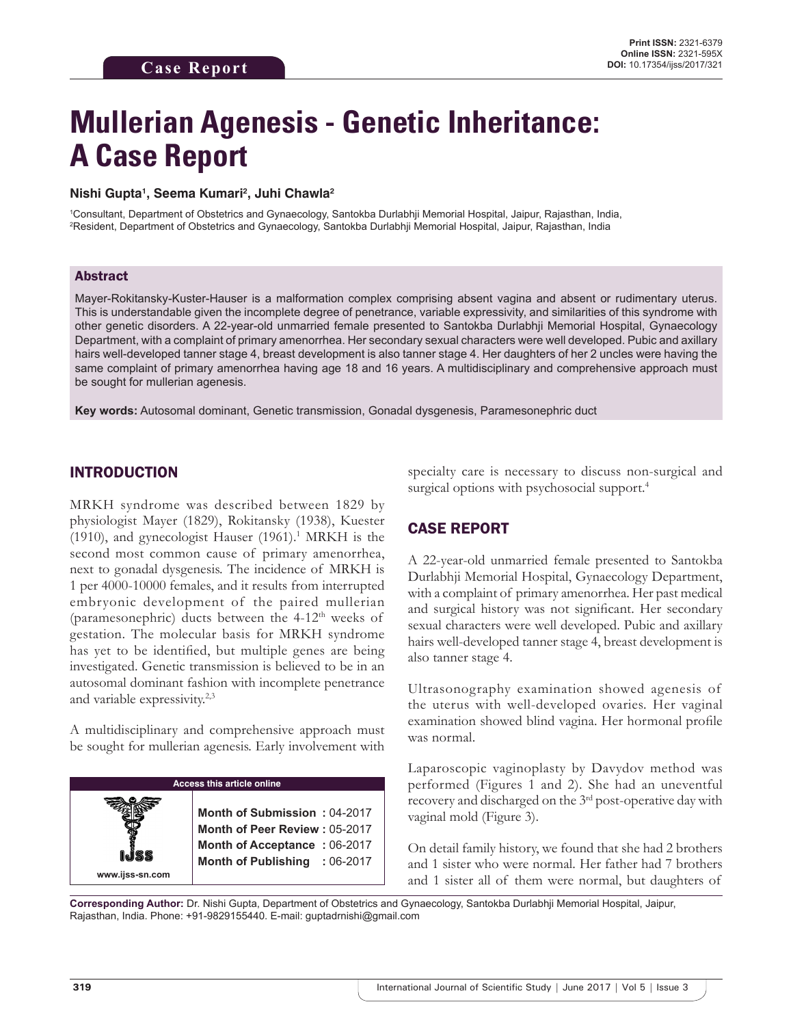# **Mullerian Agenesis - Genetic Inheritance: A Case Report**

#### **Nishi Gupta1 , Seema Kumari2 , Juhi Chawla2**

1 Consultant, Department of Obstetrics and Gynaecology, Santokba Durlabhji Memorial Hospital, Jaipur, Rajasthan, India, 2 Resident, Department of Obstetrics and Gynaecology, Santokba Durlabhji Memorial Hospital, Jaipur, Rajasthan, India

#### Abstract

Mayer-Rokitansky-Kuster-Hauser is a malformation complex comprising absent vagina and absent or rudimentary uterus. This is understandable given the incomplete degree of penetrance, variable expressivity, and similarities of this syndrome with other genetic disorders. A 22-year-old unmarried female presented to Santokba Durlabhji Memorial Hospital, Gynaecology Department, with a complaint of primary amenorrhea. Her secondary sexual characters were well developed. Pubic and axillary hairs well-developed tanner stage 4, breast development is also tanner stage 4. Her daughters of her 2 uncles were having the same complaint of primary amenorrhea having age 18 and 16 years. A multidisciplinary and comprehensive approach must be sought for mullerian agenesis.

**Key words:** Autosomal dominant, Genetic transmission, Gonadal dysgenesis, Paramesonephric duct

#### INTRODUCTION

MRKH syndrome was described between 1829 by physiologist Mayer (1829), Rokitansky (1938), Kuester (1910), and gynecologist Hauser  $(1961).<sup>1</sup>$  MRKH is the second most common cause of primary amenorrhea, next to gonadal dysgenesis. The incidence of MRKH is 1 per 4000-10000 females, and it results from interrupted embryonic development of the paired mullerian (paramesonephric) ducts between the  $4-12<sup>th</sup>$  weeks of gestation. The molecular basis for MRKH syndrome has yet to be identified, but multiple genes are being investigated. Genetic transmission is believed to be in an autosomal dominant fashion with incomplete penetrance and variable expressivity.2,3

A multidisciplinary and comprehensive approach must be sought for mullerian agenesis. Early involvement with



specialty care is necessary to discuss non-surgical and surgical options with psychosocial support.<sup>4</sup>

## CASE REPORT

A 22-year-old unmarried female presented to Santokba Durlabhji Memorial Hospital, Gynaecology Department, with a complaint of primary amenorrhea. Her past medical and surgical history was not significant. Her secondary sexual characters were well developed. Pubic and axillary hairs well-developed tanner stage 4, breast development is also tanner stage 4.

Ultrasonography examination showed agenesis of the uterus with well-developed ovaries. Her vaginal examination showed blind vagina. Her hormonal profile was normal.

Laparoscopic vaginoplasty by Davydov method was performed (Figures 1 and 2). She had an uneventful recovery and discharged on the 3rd post-operative day with vaginal mold (Figure 3).

On detail family history, we found that she had 2 brothers and 1 sister who were normal. Her father had 7 brothers and 1 sister all of them were normal, but daughters of

**Corresponding Author:** Dr. Nishi Gupta, Department of Obstetrics and Gynaecology, Santokba Durlabhji Memorial Hospital, Jaipur, Rajasthan, India. Phone: +91-9829155440. E-mail: guptadrnishi@gmail.com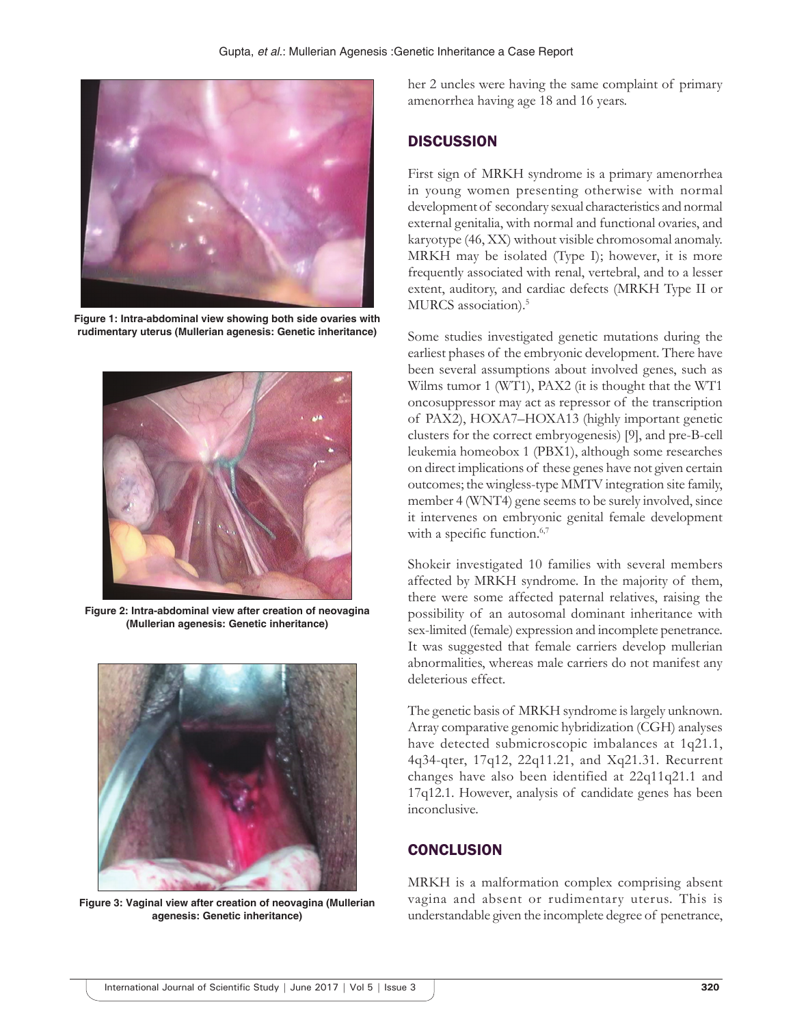

**Figure 1: Intra-abdominal view showing both side ovaries with rudimentary uterus (Mullerian agenesis: Genetic inheritance)**



**Figure 2: Intra-abdominal view after creation of neovagina (Mullerian agenesis: Genetic inheritance)**



**Figure 3: Vaginal view after creation of neovagina (Mullerian agenesis: Genetic inheritance)**

her 2 uncles were having the same complaint of primary amenorrhea having age 18 and 16 years.

#### **DISCUSSION**

First sign of MRKH syndrome is a primary amenorrhea in young women presenting otherwise with normal development of secondary sexual characteristics and normal external genitalia, with normal and functional ovaries, and karyotype (46, XX) without visible chromosomal anomaly. MRKH may be isolated (Type I); however, it is more frequently associated with renal, vertebral, and to a lesser extent, auditory, and cardiac defects (MRKH Type II or MURCS association).<sup>5</sup>

Some studies investigated genetic mutations during the earliest phases of the embryonic development. There have been several assumptions about involved genes, such as Wilms tumor 1 (WT1), PAX2 (it is thought that the WT1 oncosuppressor may act as repressor of the transcription of PAX2), HOXA7–HOXA13 (highly important genetic clusters for the correct embryogenesis) [9], and pre-B-cell leukemia homeobox 1 (PBX1), although some researches on direct implications of these genes have not given certain outcomes; the wingless-type MMTV integration site family, member 4 (WNT4) gene seems to be surely involved, since it intervenes on embryonic genital female development with a specific function.<sup>6,7</sup>

Shokeir investigated 10 families with several members affected by MRKH syndrome. In the majority of them, there were some affected paternal relatives, raising the possibility of an autosomal dominant inheritance with sex-limited (female) expression and incomplete penetrance. It was suggested that female carriers develop mullerian abnormalities, whereas male carriers do not manifest any deleterious effect.

The genetic basis of MRKH syndrome is largely unknown. Array comparative genomic hybridization (CGH) analyses have detected submicroscopic imbalances at 1q21.1, 4q34-qter, 17q12, 22q11.21, and Xq21.31. Recurrent changes have also been identified at 22q11q21.1 and 17q12.1. However, analysis of candidate genes has been inconclusive.

## **CONCLUSION**

MRKH is a malformation complex comprising absent vagina and absent or rudimentary uterus. This is understandable given the incomplete degree of penetrance,